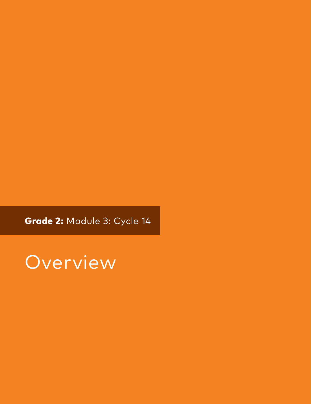Grade 2: Module 3: Cycle 14

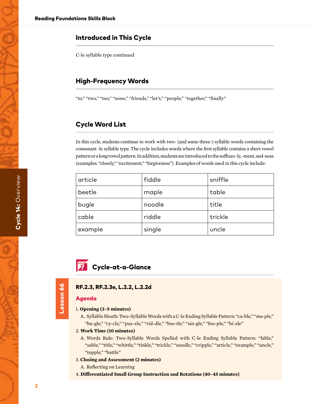# Introduced in This Cycle

C-le syllable type continued

# High-Frequency Words

"to," "two," "too," "none," "friends," "let's," "people," "together," "finally"

# Cycle Word List

In this cycle, students continue to work with two- (and some three-) syllable words containing the consonant -le syllable type. The cycle includes words where the first syllable contains a short vowel pattern or a long vowel pattern. In addition, students are introduced to the suffixes -ly, -ment, and-ness (examples: "closely," "excitement," "forgiveness"). Examples of words used in this cycle include:

| article | fiddle | sniffle |
|---------|--------|---------|
| beetle  | maple  | table   |
| bugle   | noodle | title   |
| cable   | riddle | trickle |
| example | single | uncle   |

# **7** Cycle-at-a-Glance

### RF.2.3, RF.2.3e, L.2.2, L.2.2d

### Agenda

Lesson 66

Lesson 66

### 1. **Opening (3–5 minutes)**

A. Syllable Sleuth: Two-Syllable Words with a C-le Ending Syllable Pattern: "ca-ble," "ma-ple," "bu-gle," "cy-cle," "puz-zle," "rid-dle," "bee-tle," "sin-gle," "foo-ple," "hi-zle"

#### 2. **Work Time (10 minutes)**

A. Words Rule: Two-Syllable Words Spelled with C-le Ending Syllable Pattern: "fable," "sable," "title," "whittle," "tinkle," "trickle," "noodle," "cripple," "article," "example," "uncle," "topple," "battle"

### 3. **Closing and Assessment (2 minutes)**

A. Reflecting on Learning

4. **Differentiated Small Group Instruction and Rotations (40–45 minutes)**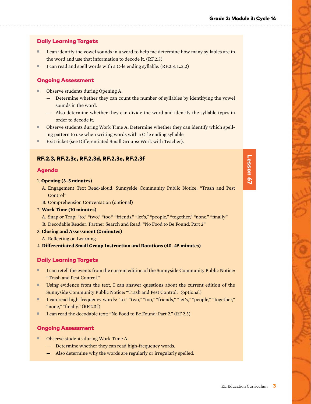# Daily Learning Targets

- I can identify the vowel sounds in a word to help me determine how many syllables are in the word and use that information to decode it. (RF.2.3)
- I can read and spell words with a C-le ending syllable. (RF.2.3, L.2.2)

# Ongoing Assessment

- Observe students during Opening A.
	- Determine whether they can count the number of syllables by identifying the vowel sounds in the word.
	- Also determine whether they can divide the word and identify the syllable types in order to decode it.
- Observe students during Work Time A. Determine whether they can identify which spelling pattern to use when writing words with a C-le ending syllable.
- Exit ticket (see Differentiated Small Groups: Work with Teacher).

# RF.2.3, RF.2.3c, RF.2.3d, RF.2.3e, RF.2.3f

### Agenda

### 1. **Opening (3–5 minutes)**

- A. Engagement Text Read-aloud: Sunnyside Community Public Notice: "Trash and Pest Control"
- B. Comprehension Conversation (optional)

### 2. **Work Time (10 minutes)**

- A. Snap or Trap: "to," "two," "too," "friends," "let's," "people," "together," "none," "finally" B. Decodable Reader: Partner Search and Read: "No Food to Be Found: Part 2"
- 3. **Closing and Assessment (2 minutes)**
	- A. Reflecting on Learning
- 4. **Differentiated Small Group Instruction and Rotations (40–45 minutes)**

# Daily Learning Targets

- I can retell the events from the current edition of the Sunnyside Community Public Notice: "Trash and Pest Control."
- Using evidence from the text, I can answer questions about the current edition of the Sunnyside Community Public Notice: "Trash and Pest Control." (optional)
- I can read high-frequency words: "to," "two," "too," "friends," "let's," "people," "together," "none," "finally." (RF.2.3f)
- I can read the decodable text: "No Food to Be Found: Part 2." (RF.2.3)

# Ongoing Assessment

- Observe students during Work Time A.
	- Determine whether they can read high-frequency words.
	- Also determine why the words are regularly or irregularly spelled.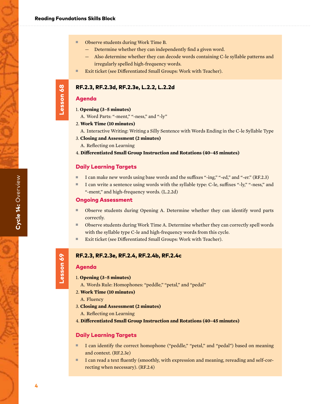- Determine whether they can independently find a given word.
- Also determine whether they can decode words containing C-le syllable patterns and irregularly spelled high-frequency words.
- Exit ticket (see Differentiated Small Groups: Work with Teacher).

### RF.2.3, RF.2.3d, RF.2.3e, L.2.2, L.2.2d

### Agenda

- 1. **Opening (3–5 minutes)**
	- A. Word Parts: "-ment," "-ness," and "-ly"

#### 2. **Work Time (10 minutes)**

- A. Interactive Writing: Writing a Silly Sentence with Words Ending in the C-le Syllable Type
- 3. **Closing and Assessment (2 minutes)**
	- A. Reflecting on Learning
- 4. **Differentiated Small Group Instruction and Rotations (40–45 minutes)**

### Daily Learning Targets

- I can make new words using base words and the suffixes "-ing," "-ed," and "-er." (RF.2.3)
- I can write a sentence using words with the syllable type: C-le, suffixes "-ly," "-ness," and "-ment," and high-frequency words. (L.2.2d)

### Ongoing Assessment

- Observe students during Opening A. Determine whether they can identify word parts correctly.
- Observe students during Work Time A. Determine whether they can correctly spell words with the syllable type C-le and high-frequency words from this cycle.
- Exit ticket (see Differentiated Small Groups: Work with Teacher).

### RF.2.3, RF.2.3e, RF.2.4, RF.2.4b, RF.2.4c

### Agenda

Lesson 69

Lesson 69

- 1. **Opening (3–5 minutes)**
	- A. Words Rule: Homophones: "peddle," "petal," and "pedal"
- 2. **Work Time (10 minutes)**
	- A. Fluency
- 3. **Closing and Assessment (2 minutes)**
	- A. Reflecting on Learning
- 4. **Differentiated Small Group Instruction and Rotations (40–45 minutes)**

### Daily Learning Targets

- I can identify the correct homophone ("peddle," "petal," and "pedal") based on meaning and context. (RF.2.3e)
- I can read a text fluently (smoothly, with expression and meaning, rereading and self-correcting when necessary). (RF.2.4)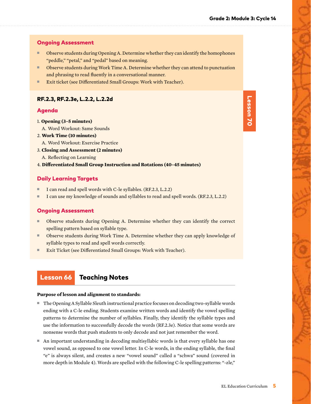### Ongoing Assessment

- Observe students during Opening A. Determine whether they can identify the homophones "peddle," "petal," and "pedal" based on meaning.
- Observe students during Work Time A. Determine whether they can attend to punctuation and phrasing to read fluently in a conversational manner.
- Exit ticket (see Differentiated Small Groups: Work with Teacher).

### RF.2.3, RF.2.3e, L.2.2, L.2.2d

### Agenda

- 1. **Opening (3–5 minutes)**
	- A. Word Workout: Same Sounds
- 2. **Work Time (10 minutes)**
- A. Word Workout: Exercise Practice
- 3. **Closing and Assessment (2 minutes)**
- A. Reflecting on Learning
- 4. **Differentiated Small Group Instruction and Rotations (40–45 minutes)**

# Daily Learning Targets

- I can read and spell words with C-le syllables. (RF.2.3, L.2.2)
- I can use my knowledge of sounds and syllables to read and spell words. (RF.2.3, L.2.2)

### Ongoing Assessment

- Observe students during Opening A. Determine whether they can identify the correct spelling pattern based on syllable type.
- Observe students during Work Time A. Determine whether they can apply knowledge of syllable types to read and spell words correctly.
- Exit Ticket (see Differentiated Small Groups: Work with Teacher).

# Lesson 66 Teaching Notes

#### **Purpose of lesson and alignment to standards:**

- The Opening A Syllable Sleuth instructional practice focuses on decoding two-syllable words ending with a C-le ending. Students examine written words and identify the vowel spelling patterns to determine the number of syllables. Finally, they identify the syllable types and use the information to successfully decode the words (RF.2.3e). Notice that some words are nonsense words that push students to only decode and not just remember the word.
- An important understanding in decoding multisyllabic words is that every syllable has one vowel sound, as opposed to one vowel letter. In C-le words, in the ending syllable, the final "e" is always silent, and creates a new "vowel sound" called a "schwa" sound (covered in more depth in Module 4). Words are spelled with the following C-le spelling patterns: "-zle,"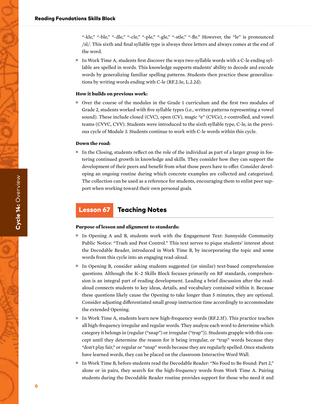"-kle," "-ble," "-dle," "-cle," "-ple," "-gle," "-stle," "-fle." However, the "le" is pronounced /əl/. This sixth and final syllable type is always three letters and always comes at the end of the word.

■ In Work Time A, students first discover the ways two-syllable words with a C-le ending syllable are spelled in words. This knowledge supports students' ability to decode and encode words by generalizing familiar spelling patterns. Students then practice these generalizations by writing words ending with C-le (RF.2.3e, L.2.2d).

#### **How it builds on previous work:**

■ Over the course of the modules in the Grade 1 curriculum and the first two modules of Grade 2, students worked with five syllable types (i.e., written patterns representing a vowel sound). These include closed (CVC), open (CV), magic "e" (CVCe), r-controlled, and vowel teams (CVVC, CVV). Students were introduced to the sixth syllable type, C-le, in the previous cycle of Module 3. Students continue to work with C-le words within this cycle.

#### **Down the road:**

■ In the Closing, students reflect on the role of the individual as part of a larger group in fostering continued growth in knowledge and skills. They consider how they can support the development of their peers and benefit from what those peers have to offer. Consider developing an ongoing routine during which concrete examples are collected and categorized. The collection can be used as a reference for students, encouraging them to enlist peer support when working toward their own personal goals.

# Lesson 67 Teaching Notes

### **Purpose of lesson and alignment to standards:**

- In Opening A and B, students work with the Engagement Text: Sunnyside Community Public Notice: "Trash and Pest Control." This text serves to pique students' interest about the Decodable Reader, introduced in Work Time B, by incorporating the topic and some words from this cycle into an engaging read-aloud.
- In Opening B, consider asking students suggested (or similar) text-based comprehension questions. Although the K–2 Skills Block focuses primarily on RF standards, comprehension is an integral part of reading development. Leading a brief discussion after the readaloud connects students to key ideas, details, and vocabulary contained within it. Because these questions likely cause the Opening to take longer than 5 minutes, they are optional. Consider adjusting differentiated small group instruction time accordingly to accommodate the extended Opening.
- In Work Time A, students learn new high-frequency words (RF.2.3f). This practice teaches all high-frequency irregular and regular words. They analyze each word to determine which category it belongs in (regular ("snap") or irregular ("trap")). Students grapple with this concept until they determine the reason for it being irregular, or "trap" words because they "don't play fair," or regular or "snap" words because they are regularly spelled. Once students have learned words, they can be placed on the classroom Interactive Word Wall.
- In Work Time B, before students read the Decodable Reader: "No Food to Be Found: Part 2," alone or in pairs, they search for the high-frequency words from Work Time A. Pairing students during the Decodable Reader routine provides support for those who need it and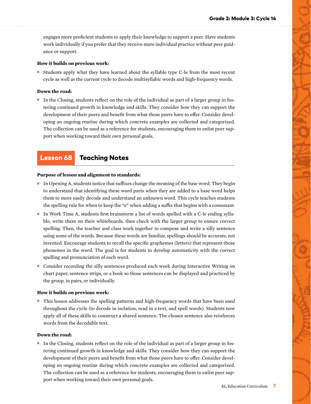engages more proficient students to apply their knowledge to support a peer. Have students work individually if you prefer that they receive more individual practice without peer guidance or support.

#### **How it builds on previous work:**

■ Students apply what they have learned about the syllable type C-le from the most recent cycle as well as the current cycle to decode multisyllabic words and high-frequency words.

### **Down the road:**

■ In the Closing, students reflect on the role of the individual as part of a larger group in fostering continued growth in knowledge and skills. They consider how they can support the development of their peers and benefit from what those peers have to offer. Consider developing an ongoing routine during which concrete examples are collected and categorized. The collection can be used as a reference for students, encouraging them to enlist peer support when working toward their own personal goals.

# Lesson 68 Teaching Notes

#### **Purpose of lesson and alignment to standards:**

- In Opening A, students notice that suffixes change the meaning of the base word. They begin to understand that identifying these word parts when they are added to a base word helps them to more easily decode and understand an unknown word. This cycle teaches students the spelling rule for when to keep the "e" when adding a suffix that begins with a consonant.
- In Work Time A, students first brainstorm a list of words spelled with a C-le ending syllable, write them on their whiteboards, then check with the larger group to ensure correct spelling. Then, the teacher and class work together to compose and write a silly sentence using some of the words. Because these words are familiar, spellings should be accurate, not invented. Encourage students to recall the specific graphemes (letters) that represent those phonemes in the word. The goal is for students to develop automaticity with the correct spelling and pronunciation of each word.
- Consider recording the silly sentences produced each week during Interactive Writing on chart paper, sentence strips, or a book so those sentences can be displayed and practiced by the group, in pairs, or individually.

#### **How it builds on previous work:**

■ This lesson addresses the spelling patterns and high-frequency words that have been used throughout the cycle (to decode in isolation, read in a text, and spell words). Students now apply all of these skills to construct a shared sentence. The chosen sentence also reinforces words from the decodable text.

### **Down the road:**

■ In the Closing, students reflect on the role of the individual as part of a larger group in fostering continued growth in knowledge and skills. They consider how they can support the development of their peers and benefit from what those peers have to offer. Consider developing an ongoing routine during which concrete examples are collected and categorized. The collection can be used as a reference for students, encouraging them to enlist peer support when working toward their own personal goals.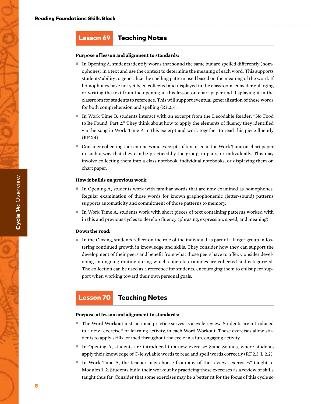# Lesson 69 Teaching Notes

#### **Purpose of lesson and alignment to standards:**

- In Opening A, students identify words that sound the same but are spelled differently (homophones) in a text and use the context to determine the meaning of each word. This supports students' ability to generalize the spelling pattern used based on the meaning of the word. If homophones have not yet been collected and displayed in the classroom, consider enlarging or writing the text from the opening in this lesson on chart paper and displaying it in the classroom for students to reference. This will support eventual generalization of these words for both comprehension and spelling (RF.2.3).
- In Work Time B, students interact with an excerpt from the Decodable Reader: "No Food to Be Found: Part 2." They think about how to apply the elements of fluency they identified via the song in Work Time A to this excerpt and work together to read this piece fluently (RF.2.4).
- Consider collecting the sentences and excerpts of text used in the Work Time on chart paper in such a way that they can be practiced by the group, in pairs, or individually. This may involve collecting them into a class notebook, individual notebooks, or displaying them on chart paper.

#### **How it builds on previous work:**

- In Opening A, students work with familiar words that are now examined as homophones. Regular examination of those words for known graphophonemic (letter-sound) patterns supports automaticity and commitment of those patterns to memory.
- In Work Time A, students work with short pieces of text containing patterns worked with in this and previous cycles to develop fluency (phrasing, expression, speed, and meaning).

#### **Down the road:**

■ In the Closing, students reflect on the role of the individual as part of a larger group in fostering continued growth in knowledge and skills. They consider how they can support the development of their peers and benefit from what those peers have to offer. Consider developing an ongoing routine during which concrete examples are collected and categorized. The collection can be used as a reference for students, encouraging them to enlist peer support when working toward their own personal goals.

# Lesson 70 Teaching Notes

#### **Purpose of lesson and alignment to standards:**

- The Word Workout instructional practice serves as a cycle review. Students are introduced to a new "exercise," or learning activity, in each Word Workout. These exercises allow students to apply skills learned throughout the cycle in a fun, engaging activity.
- In Opening A, students are introduced to a new exercise: Same Sounds, where students apply their knowledge of C-le syllable words to read and spell words correctly (RF.2.3, L.2.2).
- In Work Time A, the teacher may choose from any of the review "exercises" taught in Modules 1–2. Students build their workout by practicing these exercises as a review of skills taught thus far. Consider that some exercises may be a better fit for the focus of this cycle so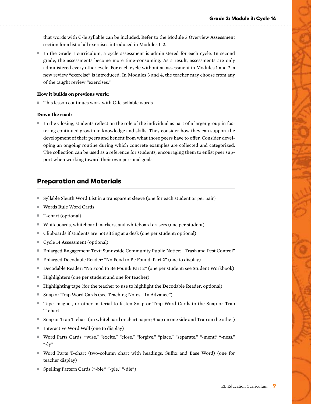that words with C-le syllable can be included. Refer to the Module 3 Overview Assessment section for a list of all exercises introduced in Modules 1–2.

■ In the Grade 1 curriculum, a cycle assessment is administered for each cycle. In second grade, the assessments become more time-consuming. As a result, assessments are only administered every other cycle. For each cycle without an assessment in Modules 1 and 2, a new review "exercise" is introduced. In Modules 3 and 4, the teacher may choose from any of the taught review "exercises."

#### **How it builds on previous work:**

■ This lesson continues work with C-le syllable words.

#### **Down the road:**

■ In the Closing, students reflect on the role of the individual as part of a larger group in fostering continued growth in knowledge and skills. They consider how they can support the development of their peers and benefit from what those peers have to offer. Consider developing an ongoing routine during which concrete examples are collected and categorized. The collection can be used as a reference for students, encouraging them to enlist peer support when working toward their own personal goals.

# Preparation and Materials

- Syllable Sleuth Word List in a transparent sleeve (one for each student or per pair)
- Words Rule Word Cards
- T-chart (optional)
- Whiteboards, whiteboard markers, and whiteboard erasers (one per student)
- Clipboards if students are not sitting at a desk (one per student; optional)
- Cycle 14 Assessment (optional)
- Enlarged Engagement Text: Sunnyside Community Public Notice: "Trash and Pest Control"
- Enlarged Decodable Reader: "No Food to Be Found: Part 2" (one to display)
- Decodable Reader: "No Food to Be Found: Part 2" (one per student; see Student Workbook)
- Highlighters (one per student and one for teacher)
- Highlighting tape (for the teacher to use to highlight the Decodable Reader; optional)
- Snap or Trap Word Cards (see Teaching Notes, "In Advance")
- Tape, magnet, or other material to fasten Snap or Trap Word Cards to the Snap or Trap T-chart
- Snap or Trap T-chart (on whiteboard or chart paper; Snap on one side and Trap on the other)
- Interactive Word Wall (one to display)
- Word Parts Cards: "wise," "excite," "close," "forgive," "place," "separate," "-ment," "-ness," "- $\mathrm{ly}$ "
- Word Parts T-chart (two-column chart with headings: Suffix and Base Word) (one for teacher display)
- Spelling Pattern Cards ("-ble," "-ple," "-dle")